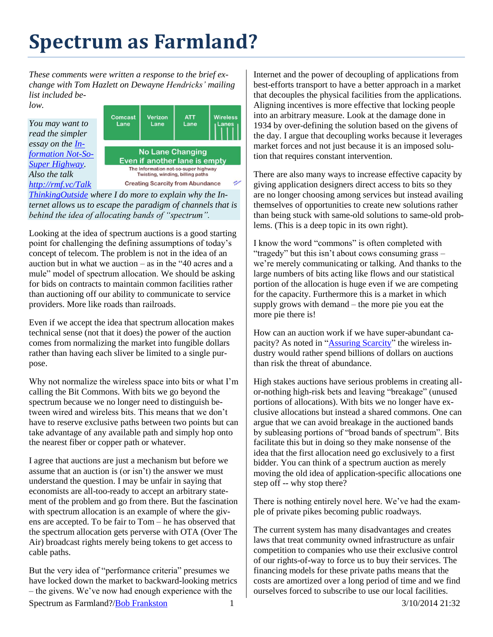## **Spectrum as Farmland?**

*These comments were written a response to the brief exchange with Tom Hazlett on Dewayne Hendricks' mailing list included below.*

*You may want to read the simpler essay on the [In](http://rmf.vc/NotSuper?x=sd)[formation Not-So-](http://rmf.vc/NotSuper?x=sd)[Super Highway.](http://rmf.vc/NotSuper?x=sd) Also the talk [http://rmf.vc/Talk](http://rmf.vc/TalkThinkingOutside)*



*[ThinkingOutside](http://rmf.vc/TalkThinkingOutside) where I do more to explain why the Internet allows us to escape the paradigm of channels that is behind the idea of allocating bands of "spectrum".* 

Looking at the idea of spectrum auctions is a good starting point for challenging the defining assumptions of today's concept of telecom. The problem is not in the idea of an auction but in what we auction – as in the "40 acres and a mule" model of spectrum allocation. We should be asking for bids on contracts to maintain common facilities rather than auctioning off our ability to communicate to service providers. More like roads than railroads.

Even if we accept the idea that spectrum allocation makes technical sense (not that it does) the power of the auction comes from normalizing the market into fungible dollars rather than having each sliver be limited to a single purpose.

Why not normalize the wireless space into bits or what I'm calling the Bit Commons. With bits we go beyond the spectrum because we no longer need to distinguish between wired and wireless bits. This means that we don't have to reserve exclusive paths between two points but can take advantage of any available path and simply hop onto the nearest fiber or copper path or whatever.

I agree that auctions are just a mechanism but before we assume that an auction is (or isn't) the answer we must understand the question. I may be unfair in saying that economists are all-too-ready to accept an arbitrary statement of the problem and go from there. But the fascination with spectrum allocation is an example of where the givens are accepted. To be fair to Tom – he has observed that the spectrum allocation gets perverse with OTA (Over The Air) broadcast rights merely being tokens to get access to cable paths.

But the very idea of "performance criteria" presumes we have locked down the market to backward-looking metrics – the givens. We've now had enough experience with the

Internet and the power of decoupling of applications from best-efforts transport to have a better approach in a market that decouples the physical facilities from the applications. Aligning incentives is more effective that locking people into an arbitrary measure. Look at the damage done in 1934 by over-defining the solution based on the givens of the day. I argue that decoupling works because it leverages market forces and not just because it is an imposed solution that requires constant intervention.

There are also many ways to increase effective capacity by giving application designers direct access to bits so they are no longer choosing among services but instead availing themselves of opportunities to create new solutions rather than being stuck with same-old solutions to same-old problems. (This is a deep topic in its own right).

I know the word "commons" is often completed with "tragedy" but this isn't about cows consuming grass – we're merely communicating or talking. And thanks to the large numbers of bits acting like flows and our statistical portion of the allocation is huge even if we are competing for the capacity. Furthermore this is a market in which supply grows with demand – the more pie you eat the more pie there is!

How can an auction work if we have super-abundant capacity? As noted in ["Assuring Scarcity"](http://rmf.vc/AssuringScarcity.sd) the wireless industry would rather spend billions of dollars on auctions than risk the threat of abundance.

High stakes auctions have serious problems in creating allor-nothing high-risk bets and leaving "breakage" (unused portions of allocations). With bits we no longer have exclusive allocations but instead a shared commons. One can argue that we can avoid breakage in the auctioned bands by subleasing portions of "broad bands of spectrum". Bits facilitate this but in doing so they make nonsense of the idea that the first allocation need go exclusively to a first bidder. You can think of a spectrum auction as merely moving the old idea of application-specific allocations one step off -- why stop there?

There is nothing entirely novel here. We've had the example of private pikes becoming public roadways.

The current system has many disadvantages and creates laws that treat community owned infrastructure as unfair competition to companies who use their exclusive control of our rights-of-way to force us to buy their services. The financing models for these private paths means that the costs are amortized over a long period of time and we find ourselves forced to subscribe to use our local facilities.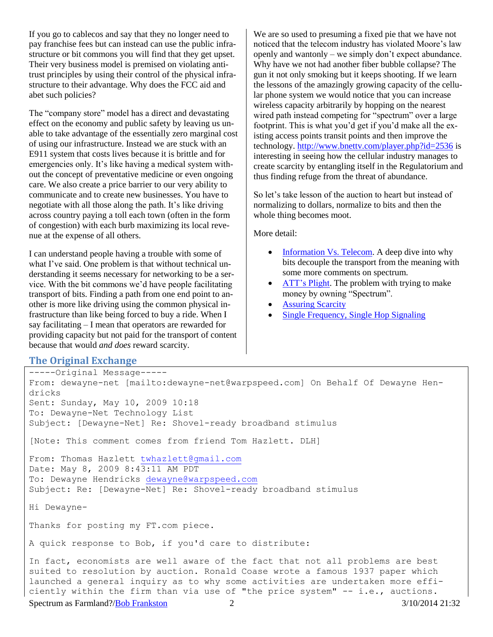If you go to cablecos and say that they no longer need to pay franchise fees but can instead can use the public infrastructure or bit commons you will find that they get upset. Their very business model is premised on violating antitrust principles by using their control of the physical infrastructure to their advantage. Why does the FCC aid and abet such policies?

The "company store" model has a direct and devastating effect on the economy and public safety by leaving us unable to take advantage of the essentially zero marginal cost of using our infrastructure. Instead we are stuck with an E911 system that costs lives because it is brittle and for emergencies only. It's like having a medical system without the concept of preventative medicine or even ongoing care. We also create a price barrier to our very ability to communicate and to create new businesses. You have to negotiate with all those along the path. It's like driving across country paying a toll each town (often in the form of congestion) with each burb maximizing its local revenue at the expense of all others.

I can understand people having a trouble with some of what I've said. One problem is that without technical understanding it seems necessary for networking to be a service. With the bit commons we'd have people facilitating transport of bits. Finding a path from one end point to another is more like driving using the common physical infrastructure than like being forced to buy a ride. When I say facilitating – I mean that operators are rewarded for providing capacity but not paid for the transport of content because that would *and does* reward scarcity.

We are so used to presuming a fixed pie that we have not noticed that the telecom industry has violated Moore's law openly and wantonly – we simply don't expect abundance. Why have we not had another fiber bubble collapse? The gun it not only smoking but it keeps shooting. If we learn the lessons of the amazingly growing capacity of the cellular phone system we would notice that you can increase wireless capacity arbitrarily by hopping on the nearest wired path instead competing for "spectrum" over a large footprint. This is what you'd get if you'd make all the existing access points transit points and then improve the technology.<http://www.bnettv.com/player.php?id=2536> is interesting in seeing how the cellular industry manages to create scarcity by entangling itself in the Regulatorium and thus finding refuge from the threat of abundance.

So let's take lesson of the auction to heart but instead of normalizing to dollars, normalize to bits and then the whole thing becomes moot.

More detail:

- [Information Vs. Telecom.](http://rmf.vc/InformationVsTelecom?x=sd) A deep dive into why bits decouple the transport from the meaning with some more comments on spectrum.
- [ATT's Plight.](http://rmf.vc/Plight?x=sd) The problem with trying to make money by owning "Spectrum".
- [Assuring](http://frankston.com/?name=AssuringScarcity) Scarcity
- [Single Frequency, Single Hop Signaling](http://frankston.com/?name=SATNSHS)

## **The Original Exchange**

```
/Bob Frankston 2 3/10/2014 21:32
-----Original Message-----
From: dewayne-net [mailto:dewayne-net@warpspeed.com] On Behalf Of Dewayne Hen-
dricks
Sent: Sunday, May 10, 2009 10:18
To: Dewayne-Net Technology List
Subject: [Dewayne-Net] Re: Shovel-ready broadband stimulus
[Note: This comment comes from friend Tom Hazlett. DLH]
From: Thomas Hazlett twhazlett@gmail.com
Date: May 8, 2009 8:43:11 AM PDT
To: Dewayne Hendricks dewayne@warpspeed.com
Subject: Re: [Dewayne-Net] Re: Shovel-ready broadband stimulus
Hi Dewayne-
Thanks for posting my FT.com piece.
A quick response to Bob, if you'd care to distribute:
In fact, economists are well aware of the fact that not all problems are best 
suited to resolution by auction. Ronald Coase wrote a famous 1937 paper which 
launched a general inquiry as to why some activities are undertaken more effi-
ciently within the firm than via use of "the price system" -- i.e., auctions.
```